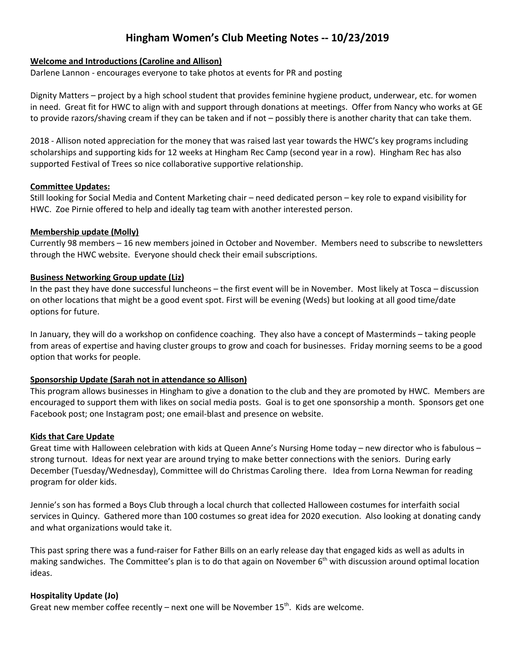# **Hingham Women's Club Meeting Notes -- 10/23/2019**

# **Welcome and Introductions (Caroline and Allison)**

Darlene Lannon - encourages everyone to take photos at events for PR and posting

Dignity Matters – project by a high school student that provides feminine hygiene product, underwear, etc. for women in need. Great fit for HWC to align with and support through donations at meetings. Offer from Nancy who works at GE to provide razors/shaving cream if they can be taken and if not – possibly there is another charity that can take them.

2018 - Allison noted appreciation for the money that was raised last year towards the HWC's key programs including scholarships and supporting kids for 12 weeks at Hingham Rec Camp (second year in a row). Hingham Rec has also supported Festival of Trees so nice collaborative supportive relationship.

## **Committee Updates:**

Still looking for Social Media and Content Marketing chair – need dedicated person – key role to expand visibility for HWC. Zoe Pirnie offered to help and ideally tag team with another interested person.

## **Membership update (Molly)**

Currently 98 members – 16 new members joined in October and November. Members need to subscribe to newsletters through the HWC website. Everyone should check their email subscriptions.

## **Business Networking Group update (Liz)**

In the past they have done successful luncheons – the first event will be in November. Most likely at Tosca – discussion on other locations that might be a good event spot. First will be evening (Weds) but looking at all good time/date options for future.

In January, they will do a workshop on confidence coaching. They also have a concept of Masterminds – taking people from areas of expertise and having cluster groups to grow and coach for businesses. Friday morning seems to be a good option that works for people.

# **Sponsorship Update (Sarah not in attendance so Allison)**

This program allows businesses in Hingham to give a donation to the club and they are promoted by HWC. Members are encouraged to support them with likes on social media posts. Goal is to get one sponsorship a month. Sponsors get one Facebook post; one Instagram post; one email-blast and presence on website.

#### **Kids that Care Update**

Great time with Halloween celebration with kids at Queen Anne's Nursing Home today – new director who is fabulous – strong turnout. Ideas for next year are around trying to make better connections with the seniors. During early December (Tuesday/Wednesday), Committee will do Christmas Caroling there. Idea from Lorna Newman for reading program for older kids.

Jennie's son has formed a Boys Club through a local church that collected Halloween costumes for interfaith social services in Quincy. Gathered more than 100 costumes so great idea for 2020 execution. Also looking at donating candy and what organizations would take it.

This past spring there was a fund-raiser for Father Bills on an early release day that engaged kids as well as adults in making sandwiches. The Committee's plan is to do that again on November 6<sup>th</sup> with discussion around optimal location ideas.

#### **Hospitality Update (Jo)**

Great new member coffee recently  $-$  next one will be November 15<sup>th</sup>. Kids are welcome.